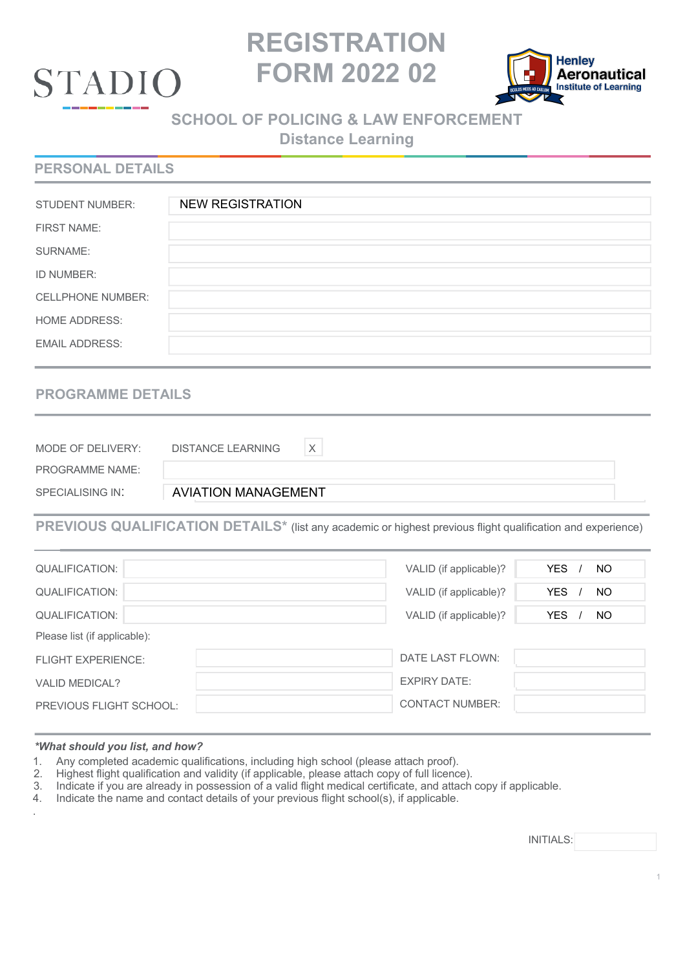

# **REGISTRATION FORM 2022 02**



# **SCHOOL OF POLICING & LAW ENFORCEMENT**

**Distance Learning**

## **PERSONAL DETAILS**

| <b>STUDENT NUMBER:</b>   | <b>NEW REGISTRATION</b> |
|--------------------------|-------------------------|
| <b>FIRST NAME:</b>       |                         |
| SURNAME:                 |                         |
| ID NUMBER:               |                         |
| <b>CELLPHONE NUMBER:</b> |                         |
| <b>HOME ADDRESS:</b>     |                         |
| <b>EMAIL ADDRESS:</b>    |                         |

# **PROGRAMME DETAILS**

| MODE OF DELIVERY:      | <b>DISTANCE LEARNING</b>   |
|------------------------|----------------------------|
| <b>PROGRAMME NAME:</b> |                            |
| SPECIALISING IN:       | <b>AVIATION MANAGEMENT</b> |

**PREVIOUS QUALIFICATION DETAILS\*** (list any academic or highest previous flight qualification and experience)

| <b>QUALIFICATION:</b>          | VALID (if applicable)? | <b>YES</b><br>NO. |
|--------------------------------|------------------------|-------------------|
| QUALIFICATION:                 | VALID (if applicable)? | <b>YES</b><br>NO. |
| <b>QUALIFICATION:</b>          | VALID (if applicable)? | YES.<br>NO.       |
| Please list (if applicable):   |                        |                   |
| <b>FLIGHT EXPERIENCE:</b>      | DATE LAST FLOWN:       |                   |
| <b>VALID MEDICAL?</b>          | <b>EXPIRY DATE:</b>    |                   |
| <b>PREVIOUS FLIGHT SCHOOL:</b> | CONTACT NUMBER:        |                   |

#### *\*What should you list, and how?*

- 1. Any completed academic qualifications, including high school (please attach proof).<br>2. Highest flight qualification and validity (if applicable, please attach copy of full licenc
- 2. Highest flight qualification and validity (if applicable, please attach copy of full licence).
- 3. Indicate if you are already in possession of a valid flight medical certificate, and attach copy if applicable.
- 4. Indicate the name and contact details of your previous flight school(s), if applicable. .

INITIALS: